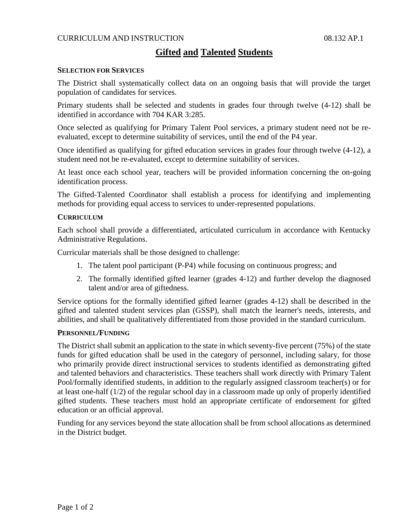## CURRICULUM AND INSTRUCTION 08.132 AP.1

# **Gifted and Talented Students**

#### **SELECTION FOR SERVICES**

The District shall systematically collect data on an ongoing basis that will provide the target population of candidates for services.

Primary students shall be selected and students in grades four through twelve (4-12) shall be identified in accordance with 704 KAR 3:285.

Once selected as qualifying for Primary Talent Pool services, a primary student need not be reevaluated, except to determine suitability of services, until the end of the P4 year.

Once identified as qualifying for gifted education services in grades four through twelve (4-12), a student need not be re-evaluated, except to determine suitability of services.

At least once each school year, teachers will be provided information concerning the on-going identification process.

The Gifted-Talented Coordinator shall establish a process for identifying and implementing methods for providing equal access to services to under-represented populations.

#### **CURRICULUM**

Each school shall provide a differentiated, articulated curriculum in accordance with Kentucky Administrative Regulations.

Curricular materials shall be those designed to challenge:

- 1. The talent pool participant (P-P4) while focusing on continuous progress; and
- 2. The formally identified gifted learner (grades 4-12) and further develop the diagnosed talent and/or area of giftedness.

Service options for the formally identified gifted learner (grades 4-12) shall be described in the gifted and talented student services plan (GSSP), shall match the learner's needs, interests, and abilities, and shall be qualitatively differentiated from those provided in the standard curriculum.

#### **PERSONNEL/FUNDING**

The District shall submit an application to the state in which seventy-five percent (75%) of the state funds for gifted education shall be used in the category of personnel, including salary, for those who primarily provide direct instructional services to students identified as demonstrating gifted and talented behaviors and characteristics. These teachers shall work directly with Primary Talent Pool/formally identified students, in addition to the regularly assigned classroom teacher(s) or for at least one-half (1/2) of the regular school day in a classroom made up only of properly identified gifted students. These teachers must hold an appropriate certificate of endorsement for gifted education or an official approval.

Funding for any services beyond the state allocation shall be from school allocations as determined in the District budget.